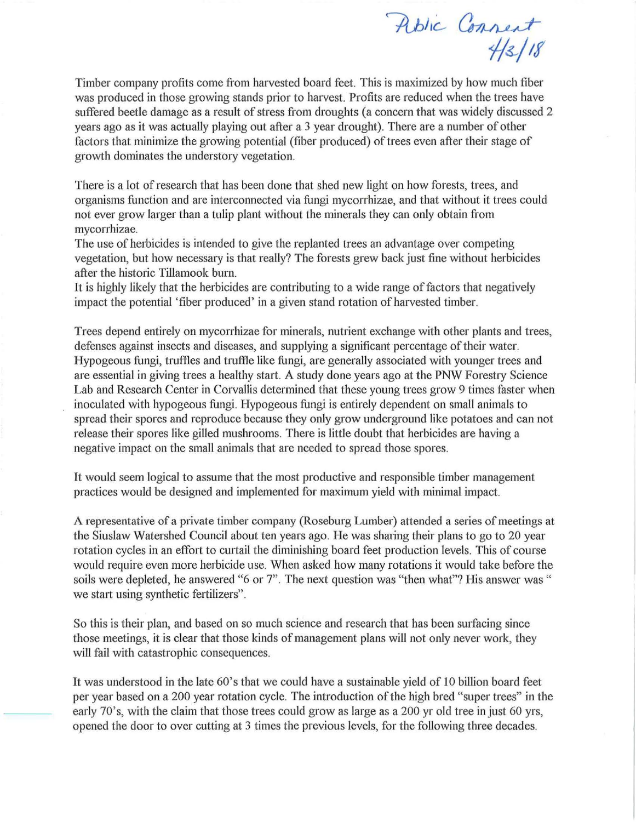Public Connect<br>4/3/18

Timber company profits come from harvested board feet. This is maximized by how much fiber was produced in those growing stands prior to harvest. Profits are reduced when the trees have suffered beetle damage as a result of stress from droughts (a concern that was widely discussed 2 years ago as it was actually playing out after a 3 year drought). There are a number of other factors that minimize the growing potential (fiber produced) of trees even after their stage of growth dominates the understory vegetation.

There is a lot of research that has been done that shed new light on how forests, trees, and organisms function and are interconnected via fungi mycorrhizae, and that without it trees could not ever grow larger than a tulip plant without the minerals they can only obtain from mycorrhizae.

The use of herbicides is intended to give the replanted trees an advantage over competing vegetation, but how necessary is that really? The forests grew back just fine without herbicides after the historic Tillamook burn.

It is highly likely that the herbicides are contributing to a wide range of factors that negatively impact the potential 'fiber produced' in a given stand rotation of harvested timber.

Trees depend entirely on mycorrhizae for minerals, nutrient exchange with other plants and trees, defenses against insects and diseases, and supplying a significant percentage of their water. Hypogeous fungi, truffles and truffle like fungi, are generally associated with younger trees and are essential in giving trees a healthy start. A study done years ago at the PNW Forestry Science Lab and Research Center in Corvallis determined that these young trees grow 9 times faster when inoculated with hypogeous fungi. Hypogeous fungi is entirely dependent on small animals to spread their spores and reproduce because they only grow underground like potatoes and can not release their spores like gilled mushrooms. There is little doubt that herbicides are having a negative impact on the small animals that are needed to spread those spores.

It would seem logical to assume that the most productive and responsible timber management practices would be designed and implemented for maximum yield with minimal impact.

A representative of a private timber company (Roseburg Lumber) attended a series of meetings at the Siuslaw Watershed Council about ten years ago. He was sharing their plans to go to 20 year rotation cycles in an effort to curtail the diminishing board feet production levels. This of course would require even more herbicide use. When asked how many rotations it would take before the soils were depleted, he answered "6 or 7". The next question was "then what"? His answer was " we start using synthetic fertilizers".

So this is their plan, and based on so much science and research that has been surfacing since those meetings, it is clear that those kinds of management plans will not only never work, they will fail with catastrophic consequences.

It was understood in the late 60's that we could have a sustainable yield of 10 billion board feet per year based on a 200 year rotation cycle. The introduction of the high bred "super trees" in the early 70's, with the claim that those trees could grow as large as a 200 yr old tree in just 60 yrs, opened the door to over cutting at 3 times the previous levels, for the following three decades.